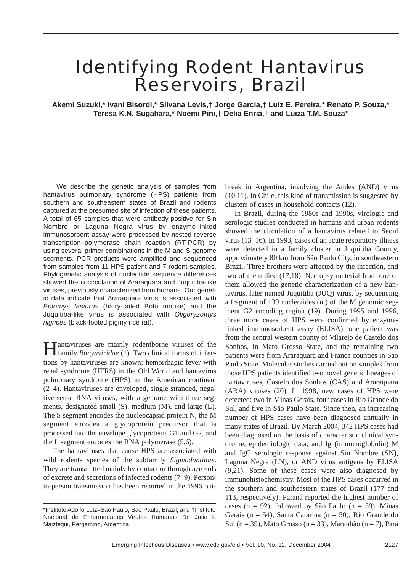# Identifying Rodent Hantavirus Reservoirs, Brazil

**Akemi Suzuki,\* Ivani Bisordi,\* Silvana Levis,† Jorge Garcia,† Luiz E. Pereira,\* Renato P. Souza,\* Teresa K.N. Sugahara,\* Noemi Pini,† Delia Enria,† and Luiza T.M. Souza\***

We describe the genetic analysis of samples from hantavirus pulmonary syndrome (HPS) patients from southern and southeastern states of Brazil and rodents captured at the presumed site of infection of these patients. A total of 65 samples that were antibody-positive for Sin Nombre or Laguna Negra virus by enzyme-linked immunosorbent assay were processed by nested reverse transcription–polymerase chain reaction (RT-PCR) by using several primer combinations in the M and S genome segments. PCR products were amplified and sequenced from samples from 11 HPS patient and 7 rodent samples. Phylogenetic analysis of nucleotide sequence differences showed the cocirculation of Araraquara and Juquitiba-like viruses, previously characterized from humans. Our genetic data indicate that Araraquara virus is associated with *Bolomys lasiurus* (hairy-tailed Bolo mouse) and the Juquitiba-like virus is associated with *Oligoryzomys nigripes* (black-footed pigmy rice rat).

Hantaviruses are mainly rodentborne viruses of the family *Bunyaviridae* (1). Two clinical forms of infections by hantaviruses are known: hemorrhagic fever with renal syndrome (HFRS) in the Old World and hantavirus pulmonary syndrome (HPS) in the American continent (2–4). Hantaviruses are enveloped, single-stranded, negative-sense RNA viruses, with a genome with three segments, designated small (S), medium (M), and large (L). The S segment encodes the nucleocapsid protein N, the M segment encodes a glycoprotein precursor that is processed into the envelope glycoproteins G1 and G2, and the L segment encodes the RNA polymerase (5,6).

The hantaviruses that cause HPS are associated with wild rodents species of the subfamily *Sigmodontinae*. They are transmitted mainly by contact or through aerosols of excrete and secretions of infected rodents (7–9). Personto-person transmission has been reported in the 1996 outbreak in Argentina, involving the Andes (AND) virus (10,11). In Chile, this kind of transmission is suggested by clusters of cases in household contacts (12).

In Brazil, during the 1980s and 1990s, virologic and serologic studies conducted in humans and urban rodents showed the circulation of a hantavirus related to Seoul virus (13–16). In 1993, cases of an acute respiratory illness were detected in a family cluster in Juquitiba County, approximately 80 km from São Paulo City, in southeastern Brazil. Three brothers were affected by the infection, and two of them died (17,18). Necropsy material from one of them allowed the genetic characterization of a new hantavirus, later named Juquitiba (JUQ) virus, by sequencing a fragment of 139 nucleotides (nt) of the M genomic segment G2 encoding region (19). During 1995 and 1996, three more cases of HPS were confirmed by enzymelinked immunosorbent assay (ELISA); one patient was from the central western county of Vilarejo de Castelo dos Sonhos, in Mato Grosso State, and the remaining two patients were from Araraquara and Franca counties in São Paulo State. Molecular studies carried out on samples from those HPS patients identified two novel genetic lineages of hantaviruses, Castelo dos Sonhos (CAS) and Araraquara (ARA) viruses (20). In 1998, new cases of HPS were detected: two in Minas Gerais, four cases in Rio Grande do Sul, and five in São Paulo State. Since then, an increasing number of HPS cases have been diagnosed annually in many states of Brazil. By March 2004, 342 HPS cases had been diagnosed on the basis of characteristic clinical syndrome, epidemiologic data, and Ig (immunoglobulin) M and IgG serologic response against Sin Nombre (SN), Laguna Negra (LN), or AND virus antigens by ELISA (9,21). Some of these cases were also diagnosed by immunohistochemistry. Most of the HPS cases occurred in the southern and southeastern states of Brazil (177 and 113, respectively). Paraná reported the highest number of cases (n = 92), followed by São Paulo (n = 59), Minas Gerais (n = 54), Santa Catarina (n = 50), Rio Grande do Sul (n = 35), Mato Grosso (n = 33), Maranhão (n = 7), Pará

<sup>\*</sup>Instituto Adolfo Lutz–São Paulo, São Paulo, Brazil; and †Instituto Nacional de Enfermedades Virales Humanas Dr. Julio I. Maiztegui, Pergamino, Argentina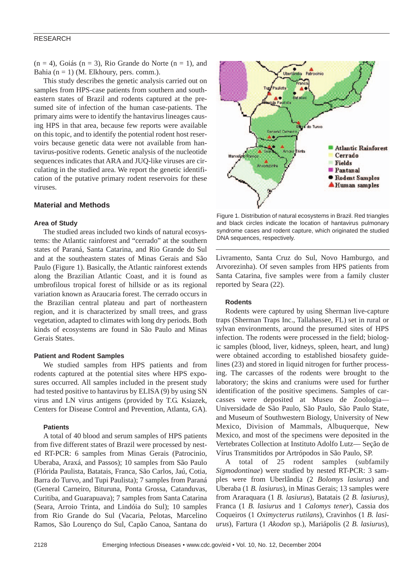$(n = 4)$ , Goiás  $(n = 3)$ , Rio Grande do Norte  $(n = 1)$ , and Bahia  $(n = 1)$  (M. Elkhoury, pers. comm.).

This study describes the genetic analysis carried out on samples from HPS-case patients from southern and southeastern states of Brazil and rodents captured at the presumed site of infection of the human case-patients. The primary aims were to identify the hantavirus lineages causing HPS in that area, because few reports were available on this topic, and to identify the potential rodent host reservoirs because genetic data were not available from hantavirus-positive rodents. Genetic analysis of the nucleotide sequences indicates that ARA and JUQ-like viruses are circulating in the studied area. We report the genetic identification of the putative primary rodent reservoirs for these viruses.

## **Material and Methods**

## **Area of Study**

The studied areas included two kinds of natural ecosystems: the Atlantic rainforest and "cerrado" at the southern states of Paraná, Santa Catarina, and Rio Grande do Sul and at the southeastern states of Minas Gerais and São Paulo (Figure 1). Basically, the Atlantic rainforest extends along the Brazilian Atlantic Coast, and it is found as umbrofilous tropical forest of hillside or as its regional variation known as Araucaria forest. The cerrado occurs in the Brazilian central plateau and part of northeastern region, and it is characterized by small trees, and grass vegetation, adapted to climates with long dry periods. Both kinds of ecosystems are found in São Paulo and Minas Gerais States.

### **Patient and Rodent Samples**

We studied samples from HPS patients and from rodents captured at the potential sites where HPS exposures occurred. All samples included in the present study had tested positive to hantavirus by ELISA (9) by using SN virus and LN virus antigens (provided by T.G. Ksiazek, Centers for Disease Control and Prevention, Atlanta, GA).

## **Patients**

A total of 40 blood and serum samples of HPS patients from five different states of Brazil were processed by nested RT-PCR: 6 samples from Minas Gerais (Patrocinio, Uberaba, Araxá, and Passos); 10 samples from São Paulo (Flórida Paulista, Batatais, Franca, São Carlos, Jaú, Cotia, Barra do Turvo, and Tupi Paulista); 7 samples from Paraná (General Carneiro, Bituruna, Ponta Grossa, Catanduvas, Curitiba, and Guarapuava); 7 samples from Santa Catarina (Seara, Arroio Trinta, and Lindóia do Sul); 10 samples from Rio Grande do Sul (Vacaria, Pelotas, Marcelino Ramos, São Lourenço do Sul, Capão Canoa, Santana do



Figure 1. Distribution of natural ecosystems in Brazil. Red triangles and black circles indicate the location of hantavirus pulmonary syndrome cases and rodent capture, which originated the studied DNA sequences, respectively.

Livramento, Santa Cruz do Sul, Novo Hamburgo, and Arvorezinha). Of seven samples from HPS patients from Santa Catarina, five samples were from a family cluster reported by Seara (22).

### **Rodents**

Rodents were captured by using Sherman live-capture traps (Sherman Traps Inc., Tallahassee, FL) set in rural or sylvan environments, around the presumed sites of HPS infection. The rodents were processed in the field; biologic samples (blood, liver, kidneys, spleen, heart, and lung) were obtained according to established biosafety guidelines (23) and stored in liquid nitrogen for further processing. The carcasses of the rodents were brought to the laboratory; the skins and craniums were used for further identification of the positive specimens. Samples of carcasses were deposited at Museu de Zoologia— Universidade de São Paulo, São Paulo, São Paulo State, and Museum of Southwestern Biology, University of New Mexico, Division of Mammals, Albuquerque, New Mexico, and most of the specimens were deposited in the Vertebrates Collection at Instituto Adolfo Lutz— Seção de Vírus Transmitidos por Artrópodos in São Paulo, SP.

A total of 25 rodent samples (subfamily *Sigmodontinae*) were studied by nested RT-PCR: 3 samples were from Uberlândia (2 *Bolomys lasiurus*) and Uberaba (1 *B. lasiurus*), in Minas Gerais; 13 samples were from Araraquara (1 *B. lasiurus*), Batatais (2 *B. lasiurus)*, Franca (1 *B. lasiurus* and 1 *Calomys tener*), Cassia dos Coqueiros (1 *Oximycterus rutilans*), Cravinhos (1 *B. lasiurus*), Fartura (1 *Akodon* sp.), Mariápolis (2 *B. lasiurus*),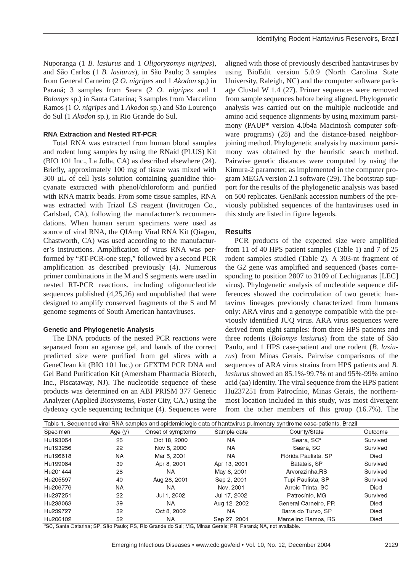Nuporanga (1 *B. lasiurus* and 1 *Oligoryzomys nigripes*), and São Carlos (1 *B. lasiurus*), in São Paulo; 3 samples from General Carneiro (2 *O. nigripes* and 1 *Akodon* sp.) in Paraná; 3 samples from Seara (2 *O. nigripes* and 1 *Bolomys* sp.) in Santa Catarina; 3 samples from Marcelino Ramos (1 *O. nigripes* and 1 *Akodon* sp.) and São Lourenço do Sul (1 *Akodon* sp.), in Rio Grande do Sul.

# **RNA Extraction and Nested RT-PCR**

Total RNA was extracted from human blood samples and rodent lung samples by using the RNaid (PLUS) Kit (BIO 101 Inc., La Jolla, CA) as described elsewhere (24). Briefly, approximately 100 mg of tissue was mixed with 300 µL of cell lysis solution containing guanidine thiocyanate extracted with phenol/chloroform and purified with RNA matrix beads. From some tissue samples, RNA was extracted with Trizol LS reagent (Invitrogen Co., Carlsbad, CA), following the manufacturer's recommendations. When human serum specimens were used as source of viral RNA, the QIAmp Viral RNA Kit (Qiagen, Chastworth, CA) was used according to the manufacturer's instructions. Amplification of virus RNA was performed by "RT-PCR-one step," followed by a second PCR amplification as described previously (4). Numerous primer combinations in the M and S segments were used in nested RT-PCR reactions, including oligonucleotide sequences published (4,25,26) and unpublished that were designed to amplify conserved fragments of the S and M genome segments of South American hantaviruses.

# **Genetic and Phylogenetic Analysis**

The DNA products of the nested PCR reactions were separated from an agarose gel, and bands of the correct predicted size were purified from gel slices with a GeneClean kit (BIO 101 Inc.) or GFXTM PCR DNA and Gel Band Purification Kit (Amersham Pharmacia Biotech, Inc., Piscataway, NJ). The nucleotide sequence of these products was determined on an ABI PRISM 377 Genetic Analyzer (Applied Biosystems, Foster City, CA.) using the dydeoxy cycle sequencing technique (4). Sequences were

aligned with those of previously described hantaviruses by using BioEdit version 5.0.9 (North Carolina State University, Raleigh, NC) and the computer software package Clustal W 1.4 (27). Primer sequences were removed from sample sequences before being aligned**.** Phylogenetic analysis was carried out on the multiple nucleotide and amino acid sequence alignments by using maximum parsimony (PAUP\* version 4.0b4a Macintosh computer software programs) (28) and the distance-based neighborjoining method. Phylogenetic analysis by maximum parsimony was obtained by the heuristic search method. Pairwise genetic distances were computed by using the Kimura-2 parameter, as implemented in the computer program MEGA version 2.1 software (29). The bootstrap support for the results of the phylogenetic analysis was based on 500 replicates. GenBank accession numbers of the previously published sequences of the hantaviruses used in this study are listed in figure legends.

# **Results**

PCR products of the expected size were amplified from 11 of 40 HPS patient samples (Table 1) and 7 of 25 rodent samples studied (Table 2). A 303-nt fragment of the G2 gene was amplified and sequenced (bases corresponding to position 2807 to 3109 of Lechiguanas [LEC] virus). Phylogenetic analysis of nucleotide sequence differences showed the cocirculation of two genetic hantavirus lineages previously characterized from humans only: ARA virus and a genotype compatible with the previously identified JUQ virus. ARA virus sequences were derived from eight samples: from three HPS patients and three rodents (*Bolomys lasiurus*) from the state of São Paulo, and 1 HPS case-patient and one rodent (*B. lasiurus*) from Minas Gerais. Pairwise comparisons of the sequences of ARA virus strains from HPS patients and *B. lasiurus* showed an 85.1%-99.7% nt and 95%-99% amino acid (aa) identity. The viral sequence from the HPS patient Hu237251 from Patrocínio, Minas Gerais, the northernmost location included in this study, was most divergent from the other members of this group (16.7%). The

| Table 1. Sequenced viral RNA samples and epidemiologic data of hantavirus pulmonary syndrome case-patients, Brazil |           |                   |              |                        |          |  |  |
|--------------------------------------------------------------------------------------------------------------------|-----------|-------------------|--------------|------------------------|----------|--|--|
| Specimen                                                                                                           | Age $(y)$ | Onset of symptoms | Sample date  | County/State           | Outcome  |  |  |
| Hu193054                                                                                                           | 25        | Oct 18, 2000      | NA.          | Seara, SC <sup>a</sup> | Survived |  |  |
| Hu193256                                                                                                           | 22        | Nov 5, 2000       | <b>NA</b>    | Seara SC               | Survived |  |  |
| Hu196618                                                                                                           | NA        | Mar 5, 2001       | <b>NA</b>    | Flórida Paulista, SP   | Died     |  |  |
| Hu199084                                                                                                           | 39        | Apr 8, 2001       | Apr 13, 2001 | Batatais, SP           | Survived |  |  |
| Hu201444                                                                                                           | 28        | NA.               | May 8, 2001  | Arvorezinha, RS        | Survived |  |  |
| Hu205597                                                                                                           | 40        | Aug 28, 2001      | Sep 2, 2001  | Tupi Paulista, SP      | Survived |  |  |
| Hu206776                                                                                                           | NA        | NA                | Nov. 2001    | Arroio Trinta, SC      | Died     |  |  |
| Hu237251                                                                                                           | 22        | Jul 1, 2002       | Jul 17, 2002 | Patrocínio, MG         | Survived |  |  |
| Hu238063                                                                                                           | 39        | <b>NA</b>         | Aug 12, 2002 | General Carneiro, PR   | Died     |  |  |
| Hu239727                                                                                                           | 32        | Oct 8, 2002       | NA.          | Barra do Turvo, SP     | Died     |  |  |
| Hu206102                                                                                                           | 52        | NA.               | Sep 27, 2001 | Marcelino Ramos, RS    | Died     |  |  |

<sup>a</sup>SC, Santa Catarina; SP, São Paulo; RS, Rio Grande do Sul; MG, Minas Gerais; PR, Paraná; NA, not available.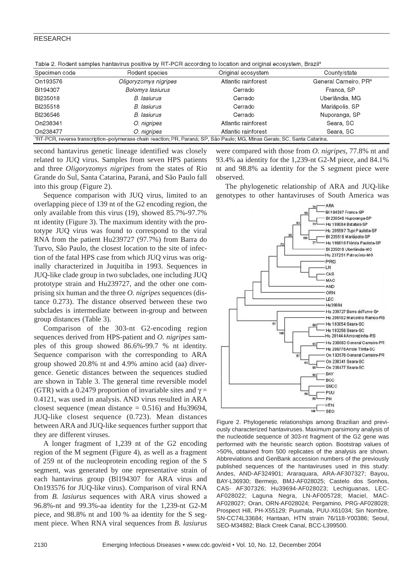| וומסוס ונוסט המיטן של המוויד הווידוס ושיט היום ושיט היו ניון ושיט ווידוס שין הווידוס ווידוס ווידוס היו ביותר שונים שונים ו |                         |                     |                                   |  |  |  |
|----------------------------------------------------------------------------------------------------------------------------|-------------------------|---------------------|-----------------------------------|--|--|--|
| Specimen code                                                                                                              | Rodent species          | Original ecosystem  | County/state                      |  |  |  |
| On193576                                                                                                                   | Oligoryzomys nigripes   | Atlantic rainforest | General Carneiro, PR <sup>a</sup> |  |  |  |
| BI194307                                                                                                                   | <b>Bolomys lasiurus</b> | Cerrado             | Franca, SP                        |  |  |  |
| BI235018                                                                                                                   | <b>B.</b> lasiurus      | Cerrado             | Uberlândia, MG                    |  |  |  |
| BI235518                                                                                                                   | B. lasiurus             | Cerrado             | Mariápolis, SP                    |  |  |  |
| BI236546                                                                                                                   | B. lasiurus             | Cerrado             | Nuporanga, SP                     |  |  |  |
| On238341                                                                                                                   | O. nigripes             | Atlantic rainforest | Seara, SC                         |  |  |  |
| On238477                                                                                                                   | O. nigripes             | Atlantic rainforest | Seara, SC                         |  |  |  |
| ªRT-PCR, reverse transcription–polymerase chain reaction; PR, Paraná; SP, São Paulo; MG, Minas Gerais; SC, Santa Catarina. |                         |                     |                                   |  |  |  |

Table 2. Rodent samples hantavirus positive by RT-PCR according to location and original ecosystem. Brazil<sup>a</sup>

second hantavirus genetic lineage identified was closely related to JUQ virus. Samples from seven HPS patients and three *Oligoryzomys nigripes* from the states of Rio Grande do Sul, Santa Catarina, Paraná, and São Paulo fall into this group (Figure 2).

Sequence comparison with JUQ virus, limited to an overlapping piece of 139 nt of the G2 encoding region, the only available from this virus (19), showed 85.7%-97.7% nt identity (Figure 3). The maximum identity with the prototype JUQ virus was found to correspond to the viral RNA from the patient Hu239727 (97.7%) from Barra do Turvo, São Paulo, the closest location to the site of infection of the fatal HPS case from which JUQ virus was originally characterized in Juquitiba in 1993. Sequences in JUQ-like clade group in two subclades, one including JUQ prototype strain and Hu239727, and the other one comprising six human and the three *O. nigripes* sequences (distance 0.273). The distance observed between these two subclades is intermediate between in-group and between group distances (Table 3).

Comparison of the 303-nt G2-encoding region sequences derived from HPS-patient and *O. nigripes* samples of this group showed 86.6%-99.7 % nt identity. Sequence comparison with the corresponding to ARA group showed 20.8% nt and 4.9% amino acid (aa) divergence. Genetic distances between the sequences studied are shown in Table 3. The general time reversible model (GTR) with a 0.2479 proportion of invariable sites and  $\gamma$  = 0.4121, was used in analysis. AND virus resulted in ARA closest sequence (mean distance  $= 0.516$ ) and Hu39694, JUQ-like closest sequence (0.723). Mean distances between ARA and JUQ-like sequences further support that they are different viruses.

A longer fragment of 1,239 nt of the G2 encoding region of the M segment (Figure 4), as well as a fragment of 259 nt of the nucleoprotein encoding region of the S segment, was generated by one representative strain of each hantavirus group (Bl194307 for ARA virus and On193576 for JUQ-like virus). Comparison of viral RNA from *B. lasiurus* sequences with ARA virus showed a 96.8%-nt and 99.3%-aa identity for the 1,239-nt G2-M piece, and 98.8% nt and 100 % aa identity for the S segment piece. When RNA viral sequences from *B. lasiurus*

were compared with those from *O. nigripes*, 77.8% nt and 93.4% aa identity for the 1,239-nt G2-M piece, and 84.1% nt and 98.8% aa identity for the S segment piece were observed.

The phylogenetic relationship of ARA and JUQ-like genotypes to other hantaviruses of South America was



Figure 2. Phylogenetic relationships among Brazilian and previously characterized hantaviruses. Maximum parsimony analysis of the nucleotide sequence of 303-nt fragment of the G2 gene was performed with the heuristic search option. Bootstrap values of >50%, obtained from 500 replicates of the analysis are shown. Abbreviations and GenBank accession numbers of the previously published sequences of the hantaviruses used in this study: Andes, AND-AF324901; Araraquara, ARA-AF307327; Bayou, BAY-L36930; Bermejo, BMJ-AF028025; Castelo dos Sonhos, CAS- AF307326; Hu39694-AF028023; Lechiguanas, LEC-AF028022; Laguna Negra, LN-AF005728; Maciel, MAC-AF028027; Oran, ORN-AF028024; Pergamino, PRG-AF028028; Prospect Hill, PH-X55129; Puumala, PUU-X61034; Sin Nombre, SN-CC74L33684; Hantaan, HTN strain 76/118-Y00386; Seoul, SEO-M34882; Black Creek Canal, BCC-L399500.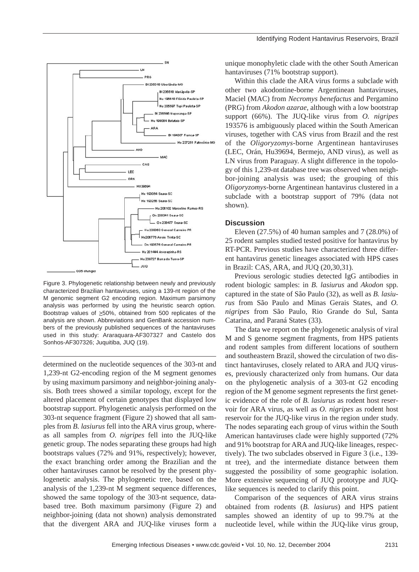

Figure 3. Phylogenetic relationship between newly and previously characterized Brazilian hantaviruses, using a 139-nt region of the M genomic segment G2 encoding region. Maximum parsimony analysis was performed by using the heuristic search option. Bootstrap values of  $\geq$ 50%, obtained from 500 replicates of the analysis are shown. Abbreviations and GenBank accession numbers of the previously published sequences of the hantaviruses used in this study: Araraquara-AF307327 and Castelo dos Sonhos-AF307326; Juquitiba, JUQ (19).

determined on the nucleotide sequences of the 303-nt and 1,239-nt G2-encoding region of the M segment genomes by using maximum parsimony and neighbor-joining analysis. Both trees showed a similar topology, except for the altered placement of certain genotypes that displayed low bootstrap support. Phylogenetic analysis performed on the 303-nt sequence fragment (Figure 2) showed that all samples from *B. lasiurus* fell into the ARA virus group, whereas all samples from *O. nigripes* fell into the JUQ-like genetic group. The nodes separating these groups had high bootstraps values (72% and 91%, respectively); however, the exact branching order among the Brazilian and the other hantaviruses cannot be resolved by the present phylogenetic analysis. The phylogenetic tree, based on the analysis of the 1,239-nt M segment sequence differences, showed the same topology of the 303-nt sequence, databased tree. Both maximum parsimony (Figure 2) and neighbor-joining (data not shown) analysis demonstrated that the divergent ARA and JUQ-like viruses form a

unique monophyletic clade with the other South American hantaviruses (71% bootstrap support).

Within this clade the ARA virus forms a subclade with other two akodontine-borne Argentinean hantaviruses, Maciel (MAC) from *Necromys benefactus* and Pergamino (PRG) from *Akodon azarae*, although with a low bootstrap support (66%). The JUQ-like virus from *O. nigripes* 193576 is ambiguously placed within the South American viruses, together with CAS virus from Brazil and the rest of the *Oligoryzomys-*borne Argentinean hantaviruses (LEC, Orán, Hu39694, Bermejo, AND virus), as well as LN virus from Paraguay. A slight difference in the topology of this 1,239-nt database tree was observed when neighbor-joining analysis was used; the grouping of this *Oligoryzomys*-borne Argentinean hantavirus clustered in a subclade with a bootstrap support of 79% (data not shown).

# **Discussion**

Eleven (27.5%) of 40 human samples and 7 (28.0%) of 25 rodent samples studied tested positive for hantavirus by RT-PCR. Previous studies have characterized three different hantavirus genetic lineages associated with HPS cases in Brazil: CAS, ARA, and JUQ (20,30,31).

Previous serologic studies detected IgG antibodies in rodent biologic samples: in *B. lasiurus* and *Akodon* spp. captured in the state of São Paulo (32), as well as *B. lasiurus* from São Paulo and Minas Gerais States, and *O. nigripes* from São Paulo, Rio Grande do Sul, Santa Catarina, and Paraná States (33).

The data we report on the phylogenetic analysis of viral M and S genome segment fragments, from HPS patients and rodent samples from different locations of southern and southeastern Brazil, showed the circulation of two distinct hantaviruses, closely related to ARA and JUQ viruses, previously characterized only from humans. Our data on the phylogenetic analysis of a 303-nt G2 encoding region of the M genome segment represents the first genetic evidence of the role of *B. lasiurus* as rodent host reservoir for ARA virus, as well as *O. nigripes* as rodent host reservoir for the JUQ-like virus in the region under study. The nodes separating each group of virus within the South American hantaviruses clade were highly supported (72% and 91% bootstrap for ARA and JUQ-like lineages, respectively). The two subclades observed in Figure 3 (i.e., 139 nt tree), and the intermediate distance between them suggested the possibility of some geographic isolation. More extensive sequencing of JUQ prototype and JUQlike sequences is needed to clarify this point.

Comparison of the sequences of ARA virus strains obtained from rodents (*B. lasiurus*) and HPS patient samples showed an identity of up to 99.7% at the nucleotide level, while within the JUQ-like virus group,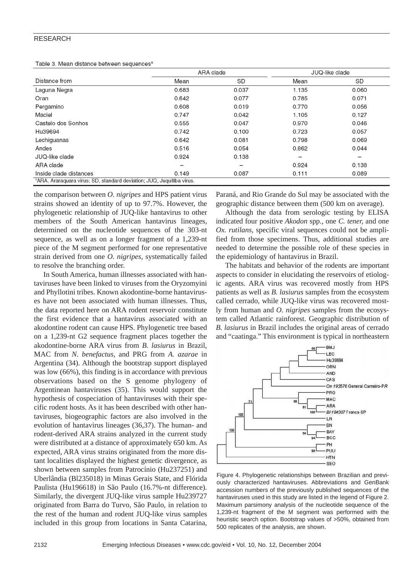Table 3, Mean distance between sequences<sup>8</sup>

|       | JUQ-like clade |  |
|-------|----------------|--|
| Mean  | <b>SD</b>      |  |
| 1.135 | 0.060          |  |
| 0.785 | 0.071          |  |
| 0.770 | 0.056          |  |
| 1.105 | 0.127          |  |
| 0.970 | 0.046          |  |
| 0.723 | 0.057          |  |
| 0.798 | 0.069          |  |
| 0.862 | 0.044          |  |
| -     | -              |  |
| 0.924 | 0.138          |  |
| 0.111 | 0.089          |  |
|       |                |  |

the comparison between *O. nigripes* and HPS patient virus strains showed an identity of up to 97.7%. However, the phylogenetic relationship of JUQ-like hantavirus to other members of the South American hantavirus lineages, determined on the nucleotide sequences of the 303-nt sequence, as well as on a longer fragment of a 1,239-nt piece of the M segment performed for one representative strain derived from one *O. nigripes,* systematically failed to resolve the branching order.

In South America, human illnesses associated with hantaviruses have been linked to viruses from the Oryzomyini and Phyllotini tribes. Known akodontine-borne hantaviruses have not been associated with human illnesses. Thus, the data reported here on ARA rodent reservoir constitute the first evidence that a hantavirus associated with an akodontine rodent can cause HPS. Phylogenetic tree based on a 1,239-nt G2 sequence fragment places together the akodontine-borne ARA virus from *B. lasiurus* in Brazil, MAC from *N. benefactus,* and PRG from *A. azarae* in Argentina (34). Although the bootstrap support displayed was low (66%), this finding is in accordance with previous observations based on the S genome phylogeny of Argentinean hantaviruses (35). This would support the hypothesis of cospeciation of hantaviruses with their specific rodent hosts. As it has been described with other hantaviruses, biogeographic factors are also involved in the evolution of hantavirus lineages (36,37). The human- and rodent-derived ARA strains analyzed in the current study were distributed at a distance of approximately 650 km. As expected, ARA virus strains originated from the more distant localities displayed the highest genetic divergence, as shown between samples from Patrocínio (Hu237251) and Uberlândia (Bl235018) in Minas Gerais State, and Flórida Paulista (Hu196618) in São Paulo (16.7%-nt difference). Similarly, the divergent JUQ-like virus sample Hu239727 originated from Barra do Turvo, São Paulo, in relation to the rest of the human and rodent JUQ-like virus samples included in this group from locations in Santa Catarina,

Paraná, and Rio Grande do Sul may be associated with the geographic distance between them (500 km on average).

Although the data from serologic testing by ELISA indicated four positive *Akodon* spp., one *C. tener,* and one *Ox. rutilans*, specific viral sequences could not be amplified from those specimens. Thus, additional studies are needed to determine the possible role of these species in the epidemiology of hantavirus in Brazil.

The habitats and behavior of the rodents are important aspects to consider in elucidating the reservoirs of etiologic agents. ARA virus was recovered mostly from HPS patients as well as *B. lasiurus* samples from the ecosystem called cerrado, while JUQ-like virus was recovered mostly from human and *O. nigripes* samples from the ecosystem called Atlantic rainforest. Geographic distribution of *B. lasiurus* in Brazil includes the original areas of cerrado and "caatinga." This environment is typical in northeastern



Figure 4. Phylogenetic relationships between Brazilian and previously characterized hantaviruses. Abbreviations and GenBank accession numbers of the previously published sequences of the hantaviruses used in this study are listed in the legend of Figure 2. Maximum parsimony analysis of the nucleotide sequence of the 1,239-nt fragment of the M segment was performed with the heuristic search option. Bootstrap values of >50%, obtained from 500 replicates of the analysis, are shown.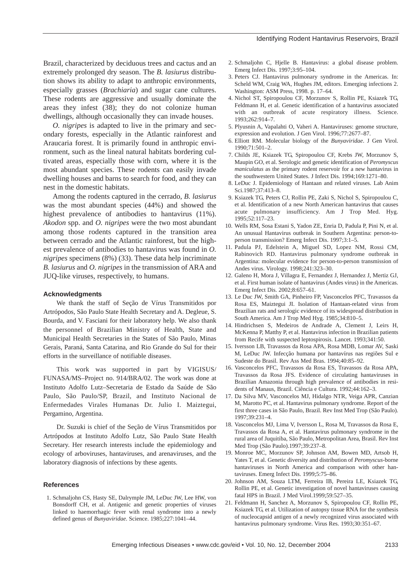Brazil, characterized by deciduous trees and cactus and an extremely prolonged dry season. The *B. lasiurus* distribution shows its ability to adapt to anthropic environments, especially grasses (*Brachiaria*) and sugar cane cultures. These rodents are aggressive and usually dominate the areas they infest (38); they do not colonize human dwellings, although occasionally they can invade houses.

*O. nigripes* is adapted to live in the primary and secondary forests, especially in the Atlantic rainforest and Araucaria forest. It is primarily found in anthropic environment, such as the lineal natural habitats bordering cultivated areas, especially those with corn, where it is the most abundant species. These rodents can easily invade dwelling houses and barns to search for food, and they can nest in the domestic habitats.

Among the rodents captured in the cerrado, *B. lasiurus* was the most abundant species (44%) and showed the highest prevalence of antibodies to hantavirus (11%). *Akodon* spp. and *O. nigripes* were the two most abundant among those rodents captured in the transition area between cerrado and the Atlantic rainforest, but the highest prevalence of antibodies to hantavirus was found in *O. nigripes* specimens (8%) (33). These data help incriminate *B. lasiurus* and *O. nigripes* in the transmission of ARA and JUQ-like viruses, respectively, to humans.

#### **Acknowledgments**

We thank the staff of Seção de Vírus Transmitidos por Artrópodos, São Paulo State Health Secretary and A. Degleue, S. Bourda, and V. Fasciani for their laboratory help. We also thank the personnel of Brazilian Ministry of Health, State and Municipal Health Secretaries in the States of São Paulo, Minas Gerais, Paraná, Santa Catarina, and Rio Grande do Sul for their efforts in the surveillance of notifiable diseases.

This work was supported in part by VIGISUS/ FUNASA/MS–Project no. 914/BRA/02. The work was done at Instituto Adolfo Lutz–Secretaria de Estado da Saúde de São Paulo, São Paulo/SP, Brazil, and Instituto Nacional de Enfermedades Virales Humanas Dr. Julio I. Maiztegui, Pergamino, Argentina.

Dr. Suzuki is chief of the Seção de Vírus Transmitidos por Artrópodos at Instituto Adolfo Lutz, São Paulo State Health Secretary. Her research interests include the epidemiology and ecology of arboviruses, hantaviruses, and arenaviruses, and the laboratory diagnosis of infections by these agents.

#### **References**

1. Schmaljohn CS, Hasty SE, Dalrymple JM, LeDuc JW, Lee HW, von Bonsdorff CH, et al. Antigenic and genetic properties of viruses linked to haemorrhagic fever with renal syndrome into a newly defined genus of *Bunyaviridae*. Science. 1985;227:1041–44.

- 2. Schmaljohn C, Hjelle B. Hantavirus: a global disease problem. Emerg Infect Dis. 1997;3:95–104.
- 3. Peters CJ. Hantavirus pulmonary syndrome in the Americas. In: Scheld WM, Craig WA, Hughes JM, editors. Emerging infections 2. Washington: ASM Press, 1998. p. 17–64.
- 4. Nichol ST, Spiropoulou CF, Morzunov S, Rollin PE, Ksiazek TG, Feldmann H, et al. Genetic identification of a hantavirus associated with an outbreak of acute respiratory illness. Science. 1993;262:914–7.
- 5. Plyusnin A, Vapalahti O, Vaheri A. Hantaviruses: genome structure, expression and evolution. J Gen Virol. 1996;77:2677–87.
- 6. Elliott RM. Molecular biology of the *Bunyaviridae*. J Gen Virol. 1990;71:501–2.
- 7. Childs JE, Ksiazek TG, Spiropoulou CF, Krebs JW, Morzunov S, Maupin GO, et al. Serologic and genetic identification of *Peromyscus maniculatus* as the primary rodent reservoir for a new hantavirus in the southwestern United States. J Infect Dis. 1994;169:1271–80.
- 8. LeDuc J. Epidemiology of Hantaan and related viruses. Lab Anim Sci.1987;37:413–8.
- 9. Ksiazek TG, Peters CJ, Rollin PE, Zaki S, Nichol S, Spiropoulou C, et al. Identification of a new North American hantavirus that causes acute pulmonary insufficiency. Am J Trop Med. Hyg. 1995;52:117–23.
- 10. Wells RM, Sosa Estani S, Yadon ZE, Enria D, Padula P, Pini N, et al. An unusual Hantavirus outbreak in Southern Argentina: person-toperson transmission? Emerg Infect Dis. 1997;3:1–5.
- 11. Padula PJ, Edelstein A, Miguel SD, Lopez NM, Rossi CM, Rabinovich RD. Hantavirus pulmonary syndrome outbreak in Argentina: molecular evidence for person-to-person transmission of Andes virus. Virology. 1998;241:323–30.
- 12. Galeno H, Mora J, Villagra E, Fernandez J, Hernandez J, Mertiz GJ, et al. First human isolate of hantavirus (Andes virus) in the Americas. Emerg Infect Dis. 2002;8:657–61.
- 13. Le Duc JW, Smith GA, Pinheiro FP, Vasconcelos PFC, Travassos da Rosa ES, Maiztegui JI. Isolation of Hantaan-related virus from Brazilian rats and serologic evidence of its widespread distribution in South America. Am J Trop Med Hyg. 1985;34:810–5.
- 14. Hindrichsen S, Medeiros de Andrade A, Clement J, Leirs H, McKenna P, Matthy P, et al. Hantavirus infection in Brazilian patients from Recife with suspected leptospirosis. Lancet. 1993;341:50.
- 15. Iversson LB, Travassos da Rosa APA, Rosa MDB, Lomar AV, Saski M, LeDuc JW. Infecção humana por hantavírus nas regiões Sul e Sudeste do Brasil. Rev Ass Med Bras. 1994;40:85–92.
- 16. Vasconcelos PFC, Travassos da Rosa ES, Travassos da Rosa APA, Travassos da Rosa JFS. Evidence of circulating hantaviruses in Brazilian Amazonia through high prevalence of antibodies in residents of Manaus, Brazil. Ciência e Cultura. 1992;44:162–3.
- 17. Da Silva MV, Vasconcelos MJ, Hidalgo NTR, Veiga APR, Canzian M, Marotto PC, et al. Hantavirus pulmonary syndrome. Report of the first three cases in São Paulo, Brazil. Rev Inst Med Trop (São Paulo). 1997;39:231–4.
- 18. Vasconcelos MJ, Lima V, Iversson L, Rosa M, Travassos da Rosa E, Travassos da Rosa A, et al. Hantavirus pulmonary syndrome in the rural area of Juquitiba, São Paulo, Metropolitan Area, Brasil. Rev Inst Med Trop (São Paulo).1997;39:237–8.
- 19. Monroe MC, Morzunov SP, Johnson AM, Bowen MD, Artsob H, Yates T, et al. Genetic diversity and distribution of *Peromyscus*-borne hantaviruses in North America and comparison with other hantaviruses. Emerg Infect Dis. 1999;5:75–86.
- 20. Johnson AM, Souza LTM, Ferreira IB, Pereira LE, Ksiazek TG, Rollin PE, et al. Genetic investigation of novel hantaviruses causing fatal HPS in Brazil. J Med Virol.1999;59:527–35.
- 21. Feldmann H, Sanchez A, Morzunov S, Spiropoulou CF, Rollin PE, Ksiazek TG, et al. Utilization of autopsy tissue RNA for the synthesis of nucleocapsid antigen of a newly recognized virus associated with hantavirus pulmonary syndrome. Virus Res. 1993;30:351–67.